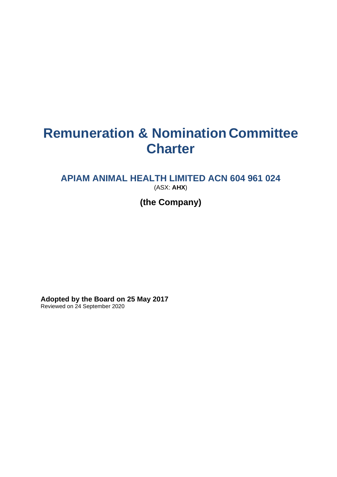# **Remuneration & Nomination Committee Charter**

# **APIAM ANIMAL HEALTH LIMITED ACN 604 961 024** (ASX: **AHX**)

# **(the Company)**

**Adopted by the Board on 25 May 2017** Reviewed on 24 September 2020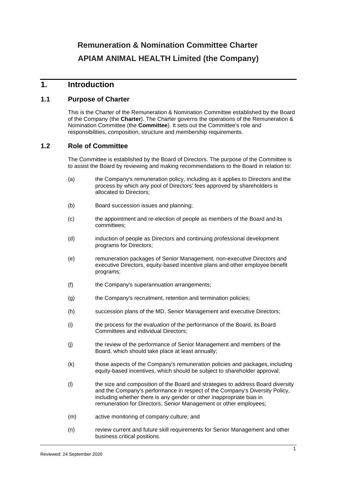# **Remuneration & Nomination Committee Charter APIAM ANIMAL HEALTH Limited (the Company)**

## **1. Introduction**

#### **1.1 Purpose of Charter**

This is the Charter of the Remuneration & Nomination Committee established by the Board of the Company (the **Charter**). The Charter governs the operations of the Remuneration & Nomination Committee (the **Committee**). It sets out the Committee's role and responsibilities, composition, structure and membership requirements.

#### **1.2 Role of Committee**

The Committee is established by the Board of Directors. The purpose of the Committee is to assist the Board by reviewing and making recommendations to the Board in relation to:

- (a) the Company's remuneration policy, including as it applies to Directors and the process by which any pool of Directors' fees approved by shareholders is allocated to Directors;
- (b) Board succession issues and planning;
- (c) the appointment and re-election of people as members of the Board and its committees;
- (d) induction of people as Directors and continuing professional development programs for Directors;
- (e) remuneration packages of Senior Management, non-executive Directors and executive Directors, equity-based incentive plans and other employee benefit programs;
- (f) the Company's superannuation arrangements;
- (g) the Company's recruitment, retention and termination policies;
- (h) succession plans of the MD, Senior Management and executive Directors;
- (i) the process for the evaluation of the performance of the Board, its Board Committees and individual Directors;
- (j) the review of the performance of Senior Management and members of the Board, which should take place at least annually;
- (k) those aspects of the Company's remuneration policies and packages, including equity-based incentives, which should be subject to shareholder approval;
- (l) the size and composition of the Board and strategies to address Board diversity and the Company's performance in respect of the Company's Diversity Policy, including whether there is any gender or other inappropriate bias in remuneration for Directors, Senior Management or other employees;
- (m) active monitoring of company culture; and
- (n) review current and future skill requirements for Senior Management and other business critical positions.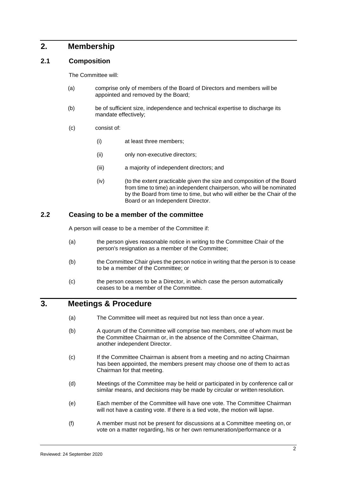### **2. Membership**

#### **2.1 Composition**

The Committee will:

- (a) comprise only of members of the Board of Directors and members will be appointed and removed by the Board;
- (b) be of sufficient size, independence and technical expertise to discharge its mandate effectively;
- (c) consist of:
	- (i) at least three members;
	- (ii) only non-executive directors;
	- (iii) a majority of independent directors; and
	- (iv) (to the extent practicable given the size and composition of the Board from time to time) an independent chairperson, who will be nominated by the Board from time to time, but who will either be the Chair of the Board or an Independent Director.

#### **2.2 Ceasing to be a member of the committee**

A person will cease to be a member of the Committee if:

- (a) the person gives reasonable notice in writing to the Committee Chair of the person's resignation as a member of the Committee;
- (b) the Committee Chair gives the person notice in writing that the person is to cease to be a member of the Committee; or
- (c) the person ceases to be a Director, in which case the person automatically ceases to be a member of the Committee.

#### **3. Meetings & Procedure**

- (a) The Committee will meet as required but not less than once a year.
- (b) A quorum of the Committee will comprise two members, one of whom must be the Committee Chairman or, in the absence of the Committee Chairman, another independent Director.
- (c) If the Committee Chairman is absent from a meeting and no acting Chairman has been appointed, the members present may choose one of them to act as Chairman for that meeting.
- (d) Meetings of the Committee may be held or participated in by conference call or similar means, and decisions may be made by circular or written resolution.
- (e) Each member of the Committee will have one vote. The Committee Chairman will not have a casting vote. If there is a tied vote, the motion will lapse.
- (f) A member must not be present for discussions at a Committee meeting on, or vote on a matter regarding, his or her own remuneration/performance or a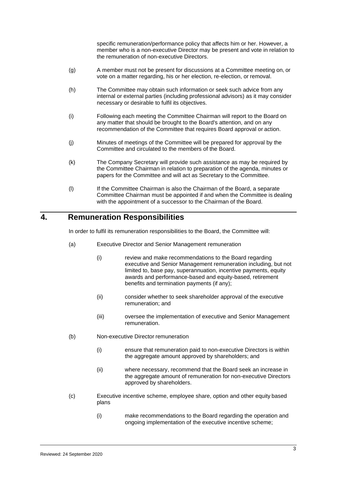specific remuneration/performance policy that affects him or her. However, a member who is a non-executive Director may be present and vote in relation to the remuneration of non-executive Directors.

- (g) A member must not be present for discussions at a Committee meeting on, or vote on a matter regarding, his or her election, re-election, or removal.
- (h) The Committee may obtain such information or seek such advice from any internal or external parties (including professional advisors) as it may consider necessary or desirable to fulfil its objectives.
- (i) Following each meeting the Committee Chairman will report to the Board on any matter that should be brought to the Board's attention, and on any recommendation of the Committee that requires Board approval or action.
- (j) Minutes of meetings of the Committee will be prepared for approval by the Committee and circulated to the members of the Board.
- (k) The Company Secretary will provide such assistance as may be required by the Committee Chairman in relation to preparation of the agenda, minutes or papers for the Committee and will act as Secretary to the Committee.
- (l) If the Committee Chairman is also the Chairman of the Board, a separate Committee Chairman must be appointed if and when the Committee is dealing with the appointment of a successor to the Chairman of the Board.

# **4. Remuneration Responsibilities**

In order to fulfil its remuneration responsibilities to the Board, the Committee will:

- (a) Executive Director and Senior Management remuneration
	- (i) review and make recommendations to the Board regarding executive and Senior Management remuneration including, but not limited to, base pay, superannuation, incentive payments, equity awards and performance-based and equity-based, retirement benefits and termination payments (if any);
	- (ii) consider whether to seek shareholder approval of the executive remuneration; and
	- (iii) oversee the implementation of executive and Senior Management remuneration.
- (b) Non-executive Director remuneration
	- (i) ensure that remuneration paid to non-executive Directors is within the aggregate amount approved by shareholders; and
	- (ii) where necessary, recommend that the Board seek an increase in the aggregate amount of remuneration for non-executive Directors approved by shareholders.
- (c) Executive incentive scheme, employee share, option and other equity based plans
	- (i) make recommendations to the Board regarding the operation and ongoing implementation of the executive incentive scheme;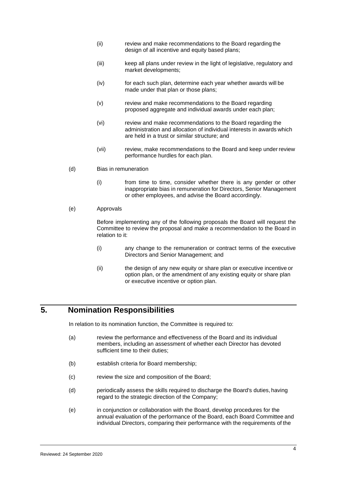- (ii) review and make recommendations to the Board regarding the design of all incentive and equity based plans;
- (iii) keep all plans under review in the light of legislative, regulatory and market developments;
- (iv) for each such plan, determine each year whether awards will be made under that plan or those plans;
- (v) review and make recommendations to the Board regarding proposed aggregate and individual awards under each plan;
- (vi) review and make recommendations to the Board regarding the administration and allocation of individual interests in awards which are held in a trust or similar structure; and
- (vii) review, make recommendations to the Board and keep under review performance hurdles for each plan.
- (d) Bias in remuneration
	- (i) from time to time, consider whether there is any gender or other inappropriate bias in remuneration for Directors, Senior Management or other employees, and advise the Board accordingly.
- (e) Approvals

Before implementing any of the following proposals the Board will request the Committee to review the proposal and make a recommendation to the Board in relation to it:

- (i) any change to the remuneration or contract terms of the executive Directors and Senior Management; and
- (ii) the design of any new equity or share plan or executive incentive or option plan, or the amendment of any existing equity or share plan or executive incentive or option plan.

# **5. Nomination Responsibilities**

In relation to its nomination function, the Committee is required to:

- (a) review the performance and effectiveness of the Board and its individual members, including an assessment of whether each Director has devoted sufficient time to their duties;
- (b) establish criteria for Board membership;
- (c) review the size and composition of the Board;
- (d) periodically assess the skills required to discharge the Board's duties, having regard to the strategic direction of the Company;
- (e) in conjunction or collaboration with the Board, develop procedures for the annual evaluation of the performance of the Board, each Board Committee and individual Directors, comparing their performance with the requirements of the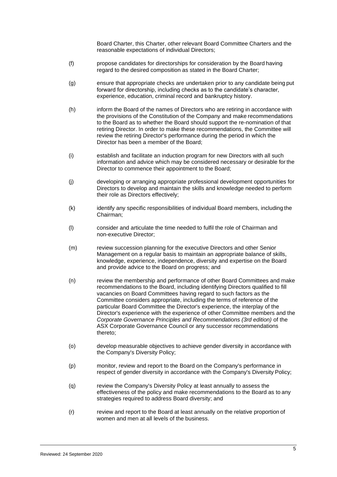Board Charter, this Charter, other relevant Board Committee Charters and the reasonable expectations of individual Directors;

- (f) propose candidates for directorships for consideration by the Board having regard to the desired composition as stated in the Board Charter;
- (g) ensure that appropriate checks are undertaken prior to any candidate being put forward for directorship, including checks as to the candidate's character, experience, education, criminal record and bankruptcy history.
- (h) inform the Board of the names of Directors who are retiring in accordance with the provisions of the Constitution of the Company and make recommendations to the Board as to whether the Board should support the re-nomination of that retiring Director. In order to make these recommendations, the Committee will review the retiring Director's performance during the period in which the Director has been a member of the Board;
- (i) establish and facilitate an induction program for new Directors with all such information and advice which may be considered necessary or desirable for the Director to commence their appointment to the Board;
- (j) developing or arranging appropriate professional development opportunities for Directors to develop and maintain the skills and knowledge needed to perform their role as Directors effectively;
- (k) identify any specific responsibilities of individual Board members, including the Chairman;
- (l) consider and articulate the time needed to fulfil the role of Chairman and non-executive Director;
- (m) review succession planning for the executive Directors and other Senior Management on a regular basis to maintain an appropriate balance of skills, knowledge, experience, independence, diversity and expertise on the Board and provide advice to the Board on progress; and
- (n) review the membership and performance of other Board Committees and make recommendations to the Board, including identifying Directors qualified to fill vacancies on Board Committees having regard to such factors as the Committee considers appropriate, including the terms of reference of the particular Board Committee the Director's experience, the interplay of the Director's experience with the experience of other Committee members and the *Corporate Governance Principles and Recommendations (3rd edition)* of the ASX Corporate Governance Council or any successor recommendations thereto;
- (o) develop measurable objectives to achieve gender diversity in accordance with the Company's Diversity Policy;
- (p) monitor, review and report to the Board on the Company's performance in respect of gender diversity in accordance with the Company's Diversity Policy;
- (q) review the Company's Diversity Policy at least annually to assess the effectiveness of the policy and make recommendations to the Board as to any strategies required to address Board diversity; and
- (r) review and report to the Board at least annually on the relative proportion of women and men at all levels of the business.